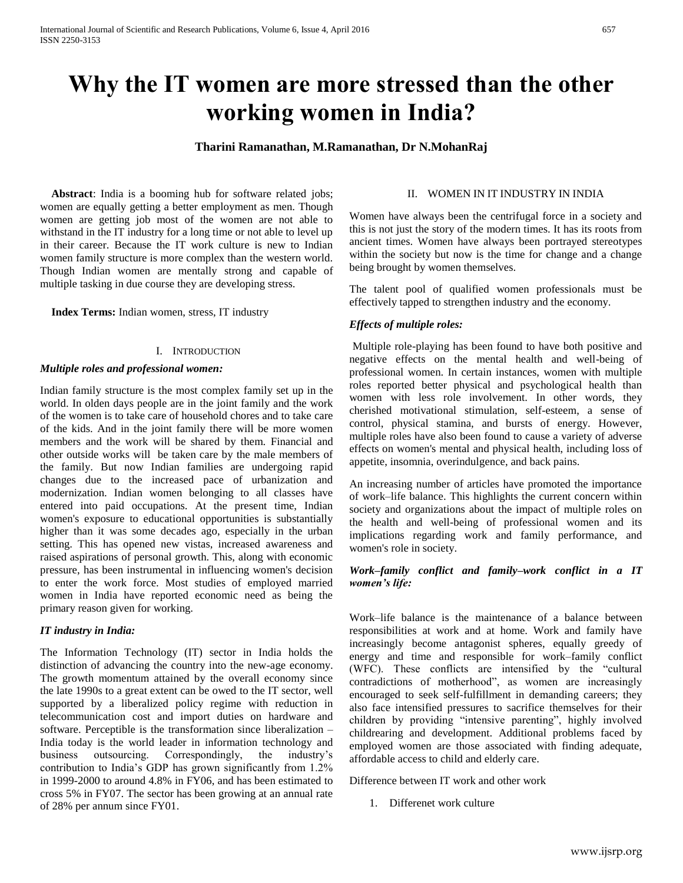# **Why the IT women are more stressed than the other working women in India?**

## **Tharini Ramanathan, M.Ramanathan, Dr N.MohanRaj**

 **Abstract**: India is a booming hub for software related jobs; women are equally getting a better employment as men. Though women are getting job most of the women are not able to withstand in the IT industry for a long time or not able to level up in their career. Because the IT work culture is new to Indian women family structure is more complex than the western world. Though Indian women are mentally strong and capable of multiple tasking in due course they are developing stress.

 **Index Terms:** Indian women, stress, IT industry

## I. INTRODUCTION

#### *Multiple roles and professional women:*

Indian family structure is the most complex family set up in the world. In olden days people are in the joint family and the work of the women is to take care of household chores and to take care of the kids. And in the joint family there will be more women members and the work will be shared by them. Financial and other outside works will be taken care by the male members of the family. But now Indian families are undergoing rapid changes due to the increased pace of urbanization and modernization. Indian women belonging to all classes have entered into paid occupations. At the present time, Indian women's exposure to educational opportunities is substantially higher than it was some decades ago, especially in the urban setting. This has opened new vistas, increased awareness and raised aspirations of personal growth. This, along with economic pressure, has been instrumental in influencing women's decision to enter the work force. Most studies of employed married women in India have reported economic need as being the primary reason given for working.

## *IT industry in India:*

The Information Technology (IT) sector in India holds the distinction of advancing the country into the new-age economy. The growth momentum attained by the overall economy since the late 1990s to a great extent can be owed to the IT sector, well supported by a liberalized policy regime with reduction in telecommunication cost and import duties on hardware and software. Perceptible is the transformation since liberalization – India today is the world leader in information technology and business outsourcing. Correspondingly, the industry's contribution to India's GDP has grown significantly from 1.2% in 1999-2000 to around 4.8% in FY06, and has been estimated to cross 5% in FY07. The sector has been growing at an annual rate of 28% per annum since FY01.

#### II. WOMEN IN IT INDUSTRY IN INDIA

Women have always been the centrifugal force in a society and this is not just the story of the modern times. It has its roots from ancient times. Women have always been portrayed stereotypes within the society but now is the time for change and a change being brought by women themselves.

The talent pool of qualified women professionals must be effectively tapped to strengthen industry and the economy.

# *Effects of multiple roles:*

Multiple role-playing has been found to have both positive and negative effects on the mental health and well-being of professional women. In certain instances, women with multiple roles reported better physical and psychological health than women with less role involvement. In other words, they cherished motivational stimulation, self-esteem, a sense of control, physical stamina, and bursts of energy. However, multiple roles have also been found to cause a variety of adverse effects on women's mental and physical health, including loss of appetite, insomnia, overindulgence, and back pains.

An increasing number of articles have promoted the importance of work–life balance. This highlights the current concern within society and organizations about the impact of multiple roles on the health and well-being of professional women and its implications regarding work and family performance, and women's role in society.

# *Work–family conflict and family–work conflict in a IT women's life:*

Work–life balance is the maintenance of a balance between responsibilities at work and at home. Work and family have increasingly become antagonist spheres, equally greedy of energy and time and responsible for work–family conflict (WFC). These conflicts are intensified by the "cultural contradictions of motherhood", as women are increasingly encouraged to seek self-fulfillment in demanding careers; they also face intensified pressures to sacrifice themselves for their children by providing "intensive parenting", highly involved childrearing and development. Additional problems faced by employed women are those associated with finding adequate, affordable access to child and elderly care.

Difference between IT work and other work

1. Differenet work culture